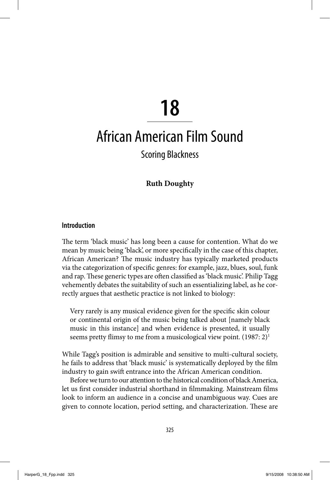# **18**

## African American Film Sound

### Scoring Blackness

#### **Ruth Doughty**

#### **Introduction**

The term 'black music' has long been a cause for contention. What do we mean by music being 'black', or more specifically in the case of this chapter, African American? The music industry has typically marketed products via the categorization of specific genres: for example, jazz, blues, soul, funk and rap. These generic types are often classified as 'black music'. Philip Tagg vehemently debates the suitability of such an essentializing label, as he correctly argues that aesthetic practice is not linked to biology:

Very rarely is any musical evidence given for the specific skin colour or continental origin of the music being talked about [namely black music in this instance] and when evidence is presented, it usually seems pretty flimsy to me from a musicological view point.  $(1987:2)^1$ 

While Tagg's position is admirable and sensitive to multi-cultural society, he fails to address that 'black music' is systematically deployed by the film industry to gain swift entrance into the African American condition.

Before we turn to our attention to the historical condition of black America, let us first consider industrial shorthand in filmmaking. Mainstream films look to inform an audience in a concise and unambiguous way. Cues are given to connote location, period setting, and characterization. These are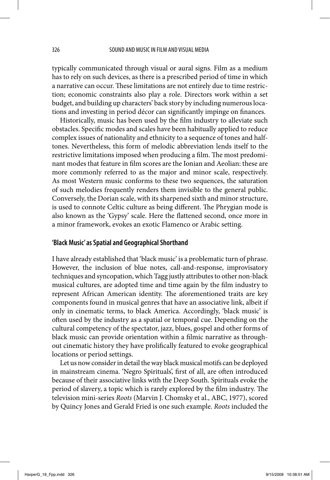typically communicated through visual or aural signs. Film as a medium has to rely on such devices, as there is a prescribed period of time in which a narrative can occur. These limitations are not entirely due to time restriction; economic constraints also play a role. Directors work within a set budget, and building up characters' back story by including numerous locations and investing in period décor can significantly impinge on finances.

Historically, music has been used by the film industry to alleviate such obstacles. Specific modes and scales have been habitually applied to reduce complex issues of nationality and ethnicity to a sequence of tones and halftones. Nevertheless, this form of melodic abbreviation lends itself to the restrictive limitations imposed when producing a film. The most predominant modes that feature in film scores are the Ionian and Aeolian: these are more commonly referred to as the major and minor scale, respectively. As most Western music conforms to these two sequences, the saturation of such melodies frequently renders them invisible to the general public. Conversely, the Dorian scale, with its sharpened sixth and minor structure, is used to connote Celtic culture as being different. The Phrygian mode is also known as the 'Gypsy' scale. Here the flattened second, once more in a minor framework, evokes an exotic Flamenco or Arabic setting.

#### **'Black Music' as Spatial and Geographical Shorthand**

I have already established that 'black music' is a problematic turn of phrase. However, the inclusion of blue notes, call-and-response, improvisatory techniques and syncopation, which Tagg justly attributes to other non-black musical cultures, are adopted time and time again by the film industry to represent African American identity. The aforementioned traits are key components found in musical genres that have an associative link, albeit if only in cinematic terms, to black America. Accordingly, 'black music' is often used by the industry as a spatial or temporal cue. Depending on the cultural competency of the spectator, jazz, blues, gospel and other forms of black music can provide orientation within a filmic narrative as throughout cinematic history they have prolifically featured to evoke geographical locations or period settings.

Let us now consider in detail the way black musical motifs can be deployed in mainstream cinema. 'Negro Spirituals', first of all, are often introduced because of their associative links with the Deep South. Spirituals evoke the period of slavery, a topic which is rarely explored by the film industry. The television mini-series *Roots* (Marvin J. Chomsky et al., ABC, 1977), scored by Quincy Jones and Gerald Fried is one such example. *Roots* included the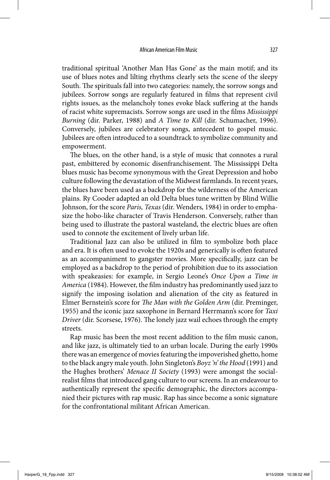traditional spiritual 'Another Man Has Gone' as the main motif; and its use of blues notes and lilting rhythms clearly sets the scene of the sleepy South. The spirituals fall into two categories: namely, the sorrow songs and jubilees. Sorrow songs are regularly featured in films that represent civil rights issues, as the melancholy tones evoke black suffering at the hands of racist white supremacists. Sorrow songs are used in the films *Mississippi Burning* (dir. Parker, 1988) and *A Time to Kill* (dir. Schumacher, 1996). Conversely, jubilees are celebratory songs, antecedent to gospel music. Jubilees are often introduced to a soundtrack to symbolize community and empowerment.

The blues, on the other hand, is a style of music that connotes a rural past, embittered by economic disenfranchisement. The Mississippi Delta blues music has become synonymous with the Great Depression and hobo culture following the devastation of the Midwest farmlands. In recent years, the blues have been used as a backdrop for the wilderness of the American plains. Ry Cooder adapted an old Delta blues tune written by Blind Willie Johnson, for the score *Paris, Texas* (dir. Wenders, 1984) in order to emphasize the hobo-like character of Travis Henderson. Conversely, rather than being used to illustrate the pastoral wasteland, the electric blues are often used to connote the excitement of lively urban life.

Traditional Jazz can also be utilized in film to symbolize both place and era. It is often used to evoke the 1920s and generically is often featured as an accompaniment to gangster movies. More specifically, jazz can be employed as a backdrop to the period of prohibition due to its association with speakeasies: for example, in Sergio Leone's *Once Upon a Time in America* (1984). However, the film industry has predominantly used jazz to signify the imposing isolation and alienation of the city as featured in Elmer Bernstein's score for *The Man with the Golden Arm* (dir. Preminger, 1955) and the iconic jazz saxophone in Bernard Herrmann's score for *Taxi Driver* (dir. Scorsese, 1976). The lonely jazz wail echoes through the empty streets.

Rap music has been the most recent addition to the film music canon, and like jazz, is ultimately tied to an urban locale. During the early 1990s there was an emergence of movies featuring the impoverished ghetto, home to the black angry male youth. John Singleton's *Boyz 'n' the Hood* (1991) and the Hughes brothers' *Menace II Society* (1993) were amongst the socialrealist films that introduced gang culture to our screens. In an endeavour to authentically represent the specific demographic, the directors accompanied their pictures with rap music. Rap has since become a sonic signature for the confrontational militant African American.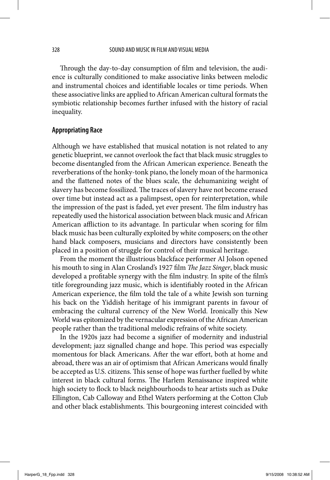Through the day-to-day consumption of film and television, the audience is culturally conditioned to make associative links between melodic and instrumental choices and identifiable locales or time periods. When these associative links are applied to African American cultural formats the symbiotic relationship becomes further infused with the history of racial inequality.

#### **Appropriating Race**

Although we have established that musical notation is not related to any genetic blueprint, we cannot overlook the fact that black music struggles to become disentangled from the African American experience. Beneath the reverberations of the honky-tonk piano, the lonely moan of the harmonica and the flattened notes of the blues scale, the dehumanizing weight of slavery has become fossilized. The traces of slavery have not become erased over time but instead act as a palimpsest, open for reinterpretation, while the impression of the past is faded, yet ever present. The film industry has repeatedly used the historical association between black music and African American affliction to its advantage. In particular when scoring for film black music has been culturally exploited by white composers; on the other hand black composers, musicians and directors have consistently been placed in a position of struggle for control of their musical heritage.

From the moment the illustrious blackface performer Al Jolson opened his mouth to sing in Alan Crosland's 1927 film *The Jazz Singer*, black music developed a profitable synergy with the film industry. In spite of the film's title foregrounding jazz music, which is identifiably rooted in the African American experience, the film told the tale of a white Jewish son turning his back on the Yiddish heritage of his immigrant parents in favour of embracing the cultural currency of the New World. Ironically this New World was epitomized by the vernacular expression of the African American people rather than the traditional melodic refrains of white society.

In the 1920s jazz had become a signifier of modernity and industrial development; jazz signalled change and hope. This period was especially momentous for black Americans. After the war effort, both at home and abroad, there was an air of optimism that African Americans would finally be accepted as U.S. citizens. This sense of hope was further fuelled by white interest in black cultural forms. The Harlem Renaissance inspired white high society to flock to black neighbourhoods to hear artists such as Duke Ellington, Cab Calloway and Ethel Waters performing at the Cotton Club and other black establishments. This bourgeoning interest coincided with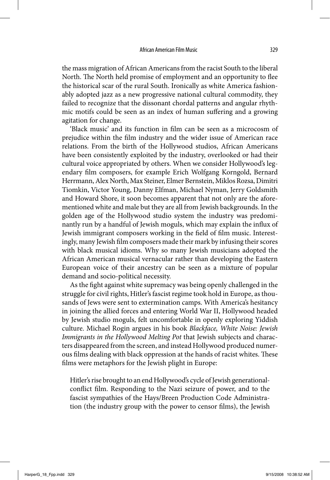the mass migration of African Americans from the racist South to the liberal North. The North held promise of employment and an opportunity to flee the historical scar of the rural South. Ironically as white America fashionably adopted jazz as a new progressive national cultural commodity, they failed to recognize that the dissonant chordal patterns and angular rhythmic motifs could be seen as an index of human suffering and a growing agitation for change.

'Black music' and its function in film can be seen as a microcosm of prejudice within the film industry and the wider issue of American race relations. From the birth of the Hollywood studios, African Americans have been consistently exploited by the industry, overlooked or had their cultural voice appropriated by others. When we consider Hollywood's legendary film composers, for example Erich Wolfgang Korngold, Bernard Herrmann, Alex North, Max Steiner, Elmer Bernstein, Miklos Rozsa, Dimitri Tiomkin, Victor Young, Danny Elfman, Michael Nyman, Jerry Goldsmith and Howard Shore, it soon becomes apparent that not only are the aforementioned white and male but they are all from Jewish backgrounds. In the golden age of the Hollywood studio system the industry was predominantly run by a handful of Jewish moguls, which may explain the influx of Jewish immigrant composers working in the field of film music. Interestingly, many Jewish film composers made their mark by infusing their scores with black musical idioms. Why so many Jewish musicians adopted the African American musical vernacular rather than developing the Eastern European voice of their ancestry can be seen as a mixture of popular demand and socio-political necessity.

As the fight against white supremacy was being openly challenged in the struggle for civil rights, Hitler's fascist regime took hold in Europe, as thousands of Jews were sent to extermination camps. With America's hesitancy in joining the allied forces and entering World War II, Hollywood headed by Jewish studio moguls, felt uncomfortable in openly exploring Yiddish culture. Michael Rogin argues in his book *Blackface, White Noise: Jewish Immigrants in the Hollywood Melting Pot* that Jewish subjects and characters disappeared from the screen, and instead Hollywood produced numerous films dealing with black oppression at the hands of racist whites. These films were metaphors for the Jewish plight in Europe:

Hitler's rise brought to an end Hollywood's cycle of Jewish generationalconflict film. Responding to the Nazi seizure of power, and to the fascist sympathies of the Hays/Breen Production Code Administration (the industry group with the power to censor films), the Jewish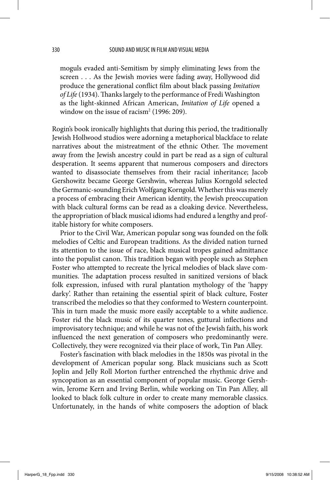moguls evaded anti-Semitism by simply eliminating Jews from the screen . . . As the Jewish movies were fading away, Hollywood did produce the generational conflict film about black passing *Imitation* of Life (1934). Thanks largely to the performance of Fredi Washington as the light-skinned African American, *Imitation of Life* opened a window on the issue of racism<sup>2</sup> (1996: 209).

Rogin's book ironically highlights that during this period, the traditionally Jewish Hollwood studios were adorning a metaphorical blackface to relate narratives about the mistreatment of the ethnic Other. The movement away from the Jewish ancestry could in part be read as a sign of cultural desperation. It seems apparent that numerous composers and directors wanted to disassociate themselves from their racial inheritance; Jacob Gershowitz became George Gershwin, whereas Julius Korngold selected the Germanic-sounding Erich Wolfgang Korngold. Whether this was merely a process of embracing their American identity, the Jewish preoccupation with black cultural forms can be read as a cloaking device. Nevertheless, the appropriation of black musical idioms had endured a lengthy and profitable history for white composers.

Prior to the Civil War, American popular song was founded on the folk melodies of Celtic and European traditions. As the divided nation turned its attention to the issue of race, black musical tropes gained admittance into the populist canon. This tradition began with people such as Stephen Foster who attempted to recreate the lyrical melodies of black slave communities. The adaptation process resulted in sanitized versions of black folk expression, infused with rural plantation mythology of the 'happy darky'. Rather than retaining the essential spirit of black culture, Foster transcribed the melodies so that they conformed to Western counterpoint. This in turn made the music more easily acceptable to a white audience. Foster rid the black music of its quarter tones, guttural inflections and improvisatory technique; and while he was not of the Jewish faith, his work influenced the next generation of composers who predominantly were. Collectively, they were recognized via their place of work, Tin Pan Alley.

Foster's fascination with black melodies in the 1850s was pivotal in the development of American popular song. Black musicians such as Scott Joplin and Jelly Roll Morton further entrenched the rhythmic drive and syncopation as an essential component of popular music. George Gershwin, Jerome Kern and Irving Berlin, while working on Tin Pan Alley, all looked to black folk culture in order to create many memorable classics. Unfortunately, in the hands of white composers the adoption of black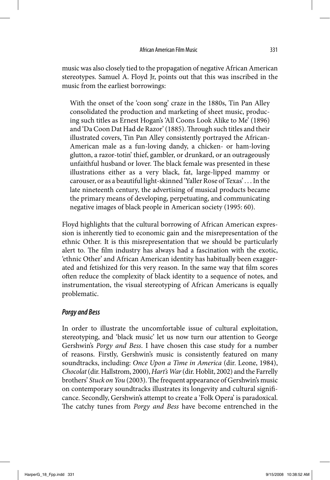music was also closely tied to the propagation of negative African American stereotypes. Samuel A. Floyd Jr, points out that this was inscribed in the music from the earliest borrowings:

With the onset of the 'coon song' craze in the 1880s, Tin Pan Alley consolidated the production and marketing of sheet music, producing such titles as Ernest Hogan's 'All Coons Look Alike to Me' (1896) and 'Da Coon Dat Had de Razor' (1885). Through such titles and their illustrated covers, Tin Pan Alley consistently portrayed the African-American male as a fun-loving dandy, a chicken- or ham-loving glutton, a razor-totin' thief, gambler, or drunkard, or an outrageously unfaithful husband or lover. The black female was presented in these illustrations either as a very black, fat, large-lipped mammy or carouser, or as a beautiful light-skinned 'Yaller Rose of Texas' . . . In the late nineteenth century, the advertising of musical products became the primary means of developing, perpetuating, and communicating negative images of black people in American society (1995: 60).

Floyd highlights that the cultural borrowing of African American expression is inherently tied to economic gain and the misrepresentation of the ethnic Other. It is this misrepresentation that we should be particularly alert to. The film industry has always had a fascination with the exotic, 'ethnic Other' and African American identity has habitually been exaggerated and fetishized for this very reason. In the same way that film scores often reduce the complexity of black identity to a sequence of notes, and instrumentation, the visual stereotyping of African Americans is equally problematic.

#### *Porgy and Bess*

In order to illustrate the uncomfortable issue of cultural exploitation, stereotyping, and 'black music' let us now turn our attention to George Gershwin's *Porgy and Bess*. I have chosen this case study for a number of reasons. Firstly, Gershwin's music is consistently featured on many soundtracks, including: *Once Upon a Time in America* (dir. Leone, 1984), *Chocolat* (dir. Hallstrom, 2000), *Hart's War* (dir. Hoblit, 2002) and the Farrelly brothers' Stuck on You (2003). The frequent appearance of Gershwin's music on contemporary soundtracks illustrates its longevity and cultural signifi cance. Secondly, Gershwin's attempt to create a 'Folk Opera' is paradoxical. The catchy tunes from *Porgy and Bess* have become entrenched in the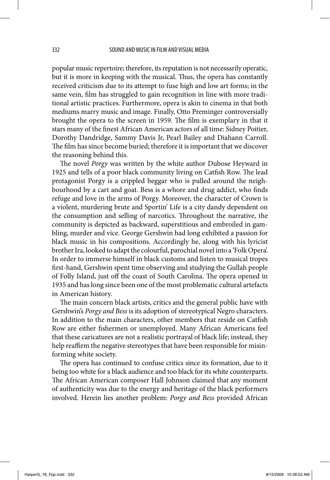popular music repertoire; therefore, its reputation is not necessarily operatic, but it is more in keeping with the musical. Thus, the opera has constantly received criticism due to its attempt to fuse high and low art forms; in the same vein, film has struggled to gain recognition in line with more traditional artistic practices. Furthermore, opera is akin to cinema in that both mediums marry music and image. Finally, Otto Preminger controversially brought the opera to the screen in 1959. The film is exemplary in that it stars many of the finest African American actors of all time: Sidney Poitier, Dorothy Dandridge, Sammy Davis Jr, Pearl Bailey and Diahann Carroll. The film has since become buried; therefore it is important that we discover the reasoning behind this.

The novel *Porgy* was written by the white author Dubose Heyward in 1925 and tells of a poor black community living on Catfish Row. The lead protagonist Porgy is a crippled beggar who is pulled around the neighbourhood by a cart and goat. Bess is a whore and drug addict, who finds refuge and love in the arms of Porgy. Moreover, the character of Crown is a violent, murdering brute and Sportin' Life is a city dandy dependent on the consumption and selling of narcotics. Throughout the narrative, the community is depicted as backward, superstitious and embroiled in gambling, murder and vice. George Gershwin had long exhibited a passion for black music in his compositions. Accordingly he, along with his lyricist brother Ira, looked to adapt the colourful, parochial novel into a 'Folk Opera'. In order to immerse himself in black customs and listen to musical tropes first-hand, Gershwin spent time observing and studying the Gullah people of Folly Island, just off the coast of South Carolina. The opera opened in 1935 and has long since been one of the most problematic cultural artefacts in American history.

The main concern black artists, critics and the general public have with Gershwin's *Porgy and Bess* is its adoption of stereotypical Negro characters. In addition to the main characters, other members that reside on Catfish Row are either fishermen or unemployed. Many African Americans feel that these caricatures are not a realistic portrayal of black life; instead, they help reaffirm the negative stereotypes that have been responsible for misinforming white society.

The opera has continued to confuse critics since its formation, due to it being too white for a black audience and too black for its white counterparts. The African American composer Hall Johnson claimed that any moment of authenticity was due to the energy and heritage of the black performers involved. Herein lies another problem: *Porgy and Bess* provided African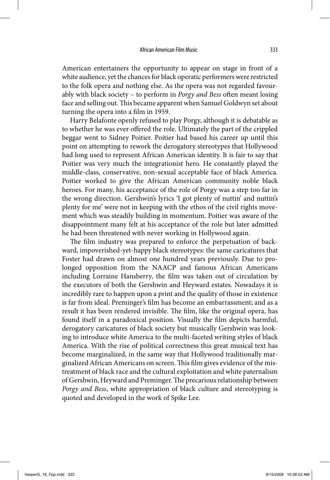American entertainers the opportunity to appear on stage in front of a white audience, yet the chances for black operatic performers were restricted to the folk opera and nothing else. As the opera was not regarded favourably with black society – to perform in *Porgy and Bess* often meant losing face and selling out. This became apparent when Samuel Goldwyn set about turning the opera into a film in 1959.

Harry Belafonte openly refused to play Porgy, although it is debatable as to whether he was ever offered the role. Ultimately the part of the crippled beggar went to Sidney Poitier. Poitier had based his career up until this point on attempting to rework the derogatory stereotypes that Hollywood had long used to represent African American identity. It is fair to say that Poitier was very much the integrationist hero. He constantly played the middle-class, conservative, non-sexual acceptable face of black America. Poitier worked to give the African American community noble black heroes. For many, his acceptance of the role of Porgy was a step too far in the wrong direction. Gershwin's lyrics 'I got plenty of nuttin' and nuttin's plenty for me' were not in keeping with the ethos of the civil rights movement which was steadily building in momentum. Poitier was aware of the disappointment many felt at his acceptance of the role but later admitted he had been threatened with never working in Hollywood again.

The film industry was prepared to enforce the perpetuation of backward, impoverished-yet-happy black stereotypes: the same caricatures that Foster had drawn on almost one hundred years previously. Due to prolonged opposition from the NAACP and famous African Americans including Lorraine Hansberry, the film was taken out of circulation by the executors of both the Gershwin and Heyward estates. Nowadays it is incredibly rare to happen upon a print and the quality of those in existence is far from ideal. Preminger's film has become an embarrassment; and as a result it has been rendered invisible. The film, like the original opera, has found itself in a paradoxical position. Visually the film depicts harmful, derogatory caricatures of black society but musically Gershwin was looking to introduce white America to the multi-faceted writing styles of black America. With the rise of political correctness this great musical text has become marginalized, in the same way that Hollywood traditionally marginalized African Americans on screen. This film gives evidence of the mistreatment of black race and the cultural exploitation and white paternalism of Gershwin, Heyward and Preminger. The precarious relationship between *Porgy and Bess*, white appropriation of black culture and stereotyping is quoted and developed in the work of Spike Lee.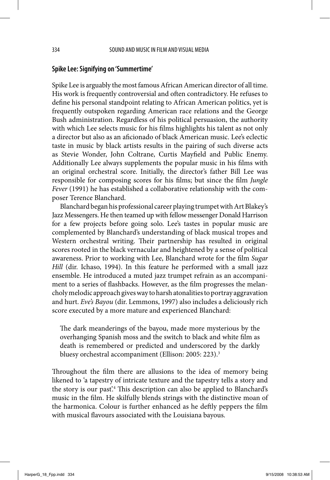#### **Spike Lee: Signifying on 'Summertime'**

Spike Lee is arguably the most famous African American director of all time. His work is frequently controversial and often contradictory. He refuses to define his personal standpoint relating to African American politics, yet is frequently outspoken regarding American race relations and the George Bush administration. Regardless of his political persuasion, the authority with which Lee selects music for his films highlights his talent as not only a director but also as an aficionado of black American music. Lee's eclectic taste in music by black artists results in the pairing of such diverse acts as Stevie Wonder, John Coltrane, Curtis Mayfield and Public Enemy. Additionally Lee always supplements the popular music in his films with an original orchestral score. Initially, the director's father Bill Lee was responsible for composing scores for his films; but since the film *Jungle Fever* (1991) he has established a collaborative relationship with the composer Terence Blanchard.

Blanchard began his professional career playing trumpet with Art Blakey's Jazz Messengers. He then teamed up with fellow messenger Donald Harrison for a few projects before going solo. Lee's tastes in popular music are complemented by Blanchard's understanding of black musical tropes and Western orchestral writing. Their partnership has resulted in original scores rooted in the black vernacular and heightened by a sense of political awareness. Prior to working with Lee, Blanchard wrote for the film *Sugar Hill* (dir. Ichaso, 1994). In this feature he performed with a small jazz ensemble. He introduced a muted jazz trumpet refrain as an accompaniment to a series of flashbacks. However, as the film progresses the melancholy melodic approach gives way to harsh atonalities to portray aggravation and hurt. *Eve's Bayou* (dir. Lemmons, 1997) also includes a deliciously rich score executed by a more mature and experienced Blanchard:

The dark meanderings of the bayou, made more mysterious by the overhanging Spanish moss and the switch to black and white film as death is remembered or predicted and underscored by the darkly bluesy orchestral accompaniment (Ellison: 2005: 223).<sup>3</sup>

Throughout the film there are allusions to the idea of memory being likened to 'a tapestry of intricate texture and the tapestry tells a story and the story is our past.<sup>4</sup> This description can also be applied to Blanchard's music in the film. He skilfully blends strings with the distinctive moan of the harmonica. Colour is further enhanced as he deftly peppers the film with musical flavours associated with the Louisiana bayous.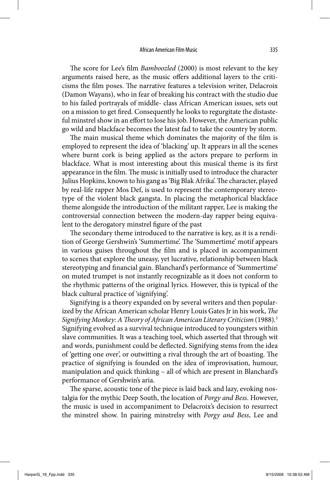The score for Lee's film *Bamboozled* (2000) is most relevant to the key arguments raised here, as the music offers additional layers to the criticisms the film poses. The narrative features a television writer, Delacroix (Damon Wayans), who in fear of breaking his contract with the studio due to his failed portrayals of middle- class African American issues, sets out on a mission to get fired. Consequently he looks to regurgitate the distasteful minstrel show in an effort to lose his job. However, the American public go wild and blackface becomes the latest fad to take the country by storm.

The main musical theme which dominates the majority of the film is employed to represent the idea of 'blacking' up. It appears in all the scenes where burnt cork is being applied as the actors prepare to perform in blackface. What is most interesting about this musical theme is its first appearance in the film. The music is initially used to introduce the character Julius Hopkins, known to his gang as 'Big Blak Afrika'. The character, played by real-life rapper Mos Def, is used to represent the contemporary stereotype of the violent black gangsta. In placing the metaphorical blackface theme alongside the introduction of the militant rapper, Lee is making the controversial connection between the modern-day rapper being equivalent to the derogatory minstrel figure of the past

The secondary theme introduced to the narrative is key, as it is a rendition of George Gershwin's 'Summertime'. The 'Summertime' motif appears in various guises throughout the film and is placed in accompaniment to scenes that explore the uneasy, yet lucrative, relationship between black stereotyping and financial gain. Blanchard's performance of 'Summertime' on muted trumpet is not instantly recognizable as it does not conform to the rhythmic patterns of the original lyrics. However, this is typical of the black cultural practice of 'signifying'.

Signifying is a theory expanded on by several writers and then popularized by the African American scholar Henry Louis Gates Jr in his work, *The* Signifying Monkey: A Theory of African American Literary Criticism (1988).<sup>5</sup> Signifying evolved as a survival technique introduced to youngsters within slave communities. It was a teaching tool, which asserted that through wit and words, punishment could be deflected. Signifying stems from the idea of 'getting one over', or outwitting a rival through the art of boasting. The practice of signifying is founded on the idea of improvisation, humour, manipulation and quick thinking – all of which are present in Blanchard's performance of Gershwin's aria.

The sparse, acoustic tone of the piece is laid back and lazy, evoking nostalgia for the mythic Deep South, the location of *Porgy and Bess*. However, the music is used in accompaniment to Delacroix's decision to resurrect the minstrel show. In pairing minstrelsy with *Porgy and Bess*, Lee and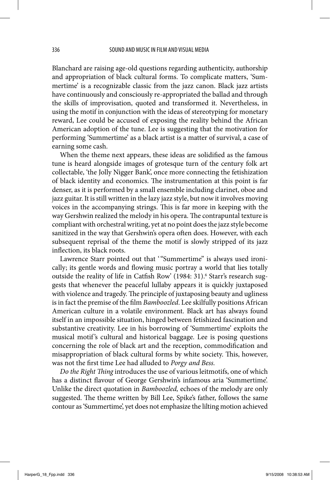Blanchard are raising age-old questions regarding authenticity, authorship and appropriation of black cultural forms. To complicate matters, 'Summertime' is a recognizable classic from the jazz canon. Black jazz artists have continuously and consciously re-appropriated the ballad and through the skills of improvisation, quoted and transformed it. Nevertheless, in using the motif in conjunction with the ideas of stereotyping for monetary reward, Lee could be accused of exposing the reality behind the African American adoption of the tune. Lee is suggesting that the motivation for performing 'Summertime' as a black artist is a matter of survival, a case of earning some cash.

When the theme next appears, these ideas are solidified as the famous tune is heard alongside images of grotesque turn of the century folk art collectable, 'the Jolly Nigger Bank', once more connecting the fetishization of black identity and economics. The instrumentation at this point is far denser, as it is performed by a small ensemble including clarinet, oboe and jazz guitar. It is still written in the lazy jazz style, but now it involves moving voices in the accompanying strings. This is far more in keeping with the way Gershwin realized the melody in his opera. The contrapuntal texture is compliant with orchestral writing, yet at no point does the jazz style become sanitized in the way that Gershwin's opera often does. However, with each subsequent reprisal of the theme the motif is slowly stripped of its jazz inflection, its black roots.

Lawrence Starr pointed out that "Summertime" is always used ironically; its gentle words and flowing music portray a world that lies totally outside the reality of life in Catfish Row' (1984: 31).<sup>6</sup> Starr's research suggests that whenever the peaceful lullaby appears it is quickly juxtaposed with violence and tragedy. The principle of juxtaposing beauty and ugliness is in fact the premise of the film *Bamboozled*. Lee skilfully positions African American culture in a volatile environment. Black art has always found itself in an impossible situation, hinged between fetishized fascination and substantive creativity. Lee in his borrowing of 'Summertime' exploits the musical motif 's cultural and historical baggage. Lee is posing questions concerning the role of black art and the reception, commodification and misappropriation of black cultural forms by white society. This, however, was not the first time Lee had alluded to *Porgy and Bess*.

*Do the Right Thing* introduces the use of various leitmotifs, one of which has a distinct flavour of George Gershwin's infamous aria 'Summertime'. Unlike the direct quotation in *Bamboozled,* echoes of the melody are only suggested. The theme written by Bill Lee, Spike's father, follows the same contour as 'Summertime', yet does not emphasize the lilting motion achieved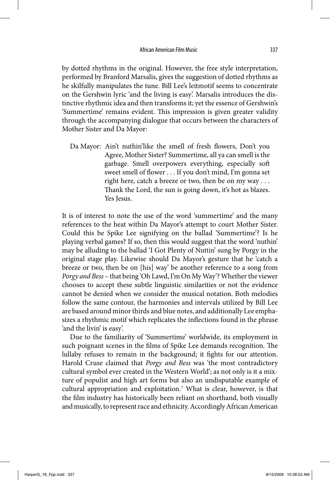by dotted rhythms in the original. However, the free style interpretation, performed by Branford Marsalis, gives the suggestion of dotted rhythms as he skilfully manipulates the tune. Bill Lee's leitmotif seems to concentrate on the Gershwin lyric 'and the living is easy'. Marsalis introduces the distinctive rhythmic idea and then transforms it; yet the essence of Gershwin's 'Summertime' remains evident. This impression is given greater validity through the accompanying dialogue that occurs between the characters of Mother Sister and Da Mayor:

Da Mayor: Ain't nuthin'like the smell of fresh flowers, Don't you Agree, Mother Sister? Summertime, all ya can smell is the garbage. Smell overpowers everything, especially soft sweet smell of flower . . . If you don't mind, I'm gonna set right here, catch a breeze or two, then be on my way . . . Thank the Lord, the sun is going down, it's hot as blazes. Yes Jesus.

It is of interest to note the use of the word 'summertime' and the many references to the heat within Da Mayor's attempt to court Mother Sister. Could this be Spike Lee signifying on the ballad 'Summertime'? Is he playing verbal games? If so, then this would suggest that the word 'nuthin' may be alluding to the ballad 'I Got Plenty of Nuttin' sung by Porgy in the original stage play. Likewise should Da Mayor's gesture that he 'catch a breeze or two, then be on [his] way' be another reference to a song from *Porgy and Bess* – that being 'Oh Lawd, I'm On My Way'? Whether the viewer chooses to accept these subtle linguistic similarities or not the evidence cannot be denied when we consider the musical notation. Both melodies follow the same contour, the harmonies and intervals utilized by Bill Lee are based around minor thirds and blue notes, and additionally Lee emphasizes a rhythmic motif which replicates the inflections found in the phrase 'and the livin' is easy'.

Due to the familiarity of 'Summertime' worldwide, its employment in such poignant scenes in the films of Spike Lee demands recognition. The lullaby refuses to remain in the background; it fights for our attention. Harold Cruse claimed that *Porgy and Bess* was 'the most contradictory cultural symbol ever created in the Western World'; as not only is it a mixture of populist and high art forms but also an undisputable example of cultural appropriation and exploitation.7 What is clear, however, is that the film industry has historically been reliant on shorthand, both visually and musically, to represent race and ethnicity. Accordingly African American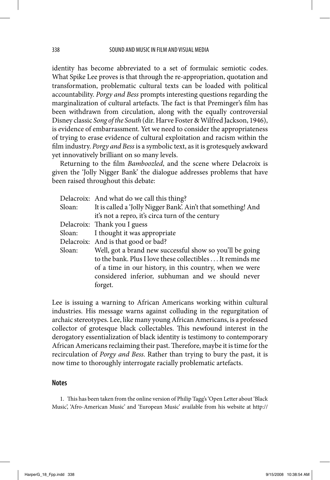identity has become abbreviated to a set of formulaic semiotic codes. What Spike Lee proves is that through the re-appropriation, quotation and transformation, problematic cultural texts can be loaded with political accountability. *Porgy and Bess* prompts interesting questions regarding the marginalization of cultural artefacts. The fact is that Preminger's film has been withdrawn from circulation, along with the equally controversial Disney classic *Song of the South* (dir. Harve Foster & Wilfred Jackson, 1946), is evidence of embarrassment. Yet we need to consider the appropriateness of trying to erase evidence of cultural exploitation and racism within the film industry. Porgy and Bess is a symbolic text, as it is grotesquely awkward yet innovatively brilliant on so many levels.

Returning to the film *Bamboozled*, and the scene where Delacroix is given the 'Jolly Nigger Bank' the dialogue addresses problems that have been raised throughout this debate:

|        | Delacroix: And what do we call this thing?                    |
|--------|---------------------------------------------------------------|
| Sloan: | It is called a 'Jolly Nigger Bank'. Ain't that something! And |
|        | it's not a repro, it's circa turn of the century              |
|        | Delacroix: Thank you I guess                                  |
|        | Sloan: I thought it was appropriate                           |
|        | Delacroix: And is that good or bad?                           |
| Sloan: | Well, got a brand new successful show so you'll be going      |
|        | to the bank. Plus I love these collectibles It reminds me     |
|        | of a time in our history, in this country, when we were       |
|        | considered inferior, subhuman and we should never             |
|        | forget.                                                       |

Lee is issuing a warning to African Americans working within cultural industries. His message warns against colluding in the regurgitation of archaic stereotypes. Lee, like many young African Americans, is a professed collector of grotesque black collectables. This newfound interest in the derogatory essentialization of black identity is testimony to contemporary African Americans reclaiming their past. Therefore, maybe it is time for the recirculation of *Porgy and Bess*. Rather than trying to bury the past, it is now time to thoroughly interrogate racially problematic artefacts.

#### **Notes**

1. This has been taken from the online version of Philip Tagg's 'Open Letter about 'Black Music', 'Afro-American Music' and 'European Music' available from his website at http://